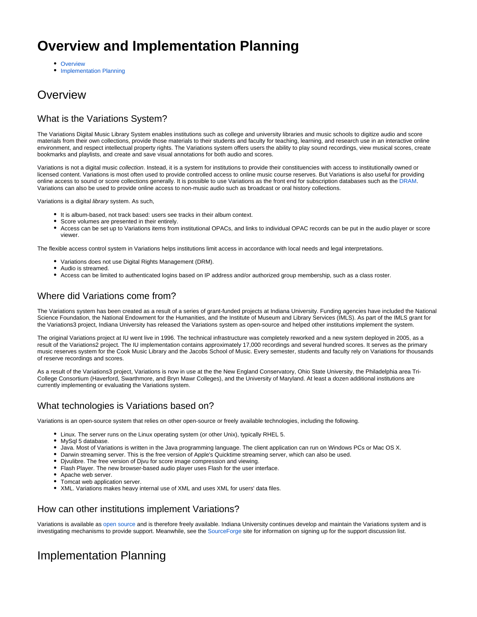# **Overview and Implementation Planning**

- [Overview](#page-0-0)
- [Implementation Planning](#page-0-1)

## <span id="page-0-0"></span>**Overview**

## What is the Variations System?

The Variations Digital Music Library System enables institutions such as college and university libraries and music schools to digitize audio and score materials from their own collections, provide those materials to their students and faculty for teaching, learning, and research use in an interactive online environment, and respect intellectual property rights. The Variations system offers users the ability to play sound recordings, view musical scores, create bookmarks and playlists, and create and save visual annotations for both audio and scores.

Variations is not a digital music collection. Instead, it is a system for institutions to provide their constituencies with access to institutionally owned or licensed content. Variations is most often used to provide controlled access to online music course reserves. But Variations is also useful for providing online access to sound or score collections generally. It is possible to use Variations as the front end for subscription databases such as the [DRAM.](http://www.dramonline.org) Variations can also be used to provide online access to non-music audio such as broadcast or oral history collections.

Variations is a digital library system. As such,

- It is album-based, not track based: users see tracks in their album context.
- Score volumes are presented in their entirely.
- Access can be set up to Variations items from institutional OPACs, and links to individual OPAC records can be put in the audio player or score viewer.

The flexible access control system in Variations helps institutions limit access in accordance with local needs and legal interpretations.

- Variations does not use Digital Rights Management (DRM).
- Audio is streamed.
- Access can be limited to authenticated logins based on IP address and/or authorized group membership, such as a class roster.

### Where did Variations come from?

The Variations system has been created as a result of a series of grant-funded projects at Indiana University. Funding agencies have included the National Science Foundation, the National Endowment for the Humanities, and the Institute of Museum and Library Services (IMLS). As part of the IMLS grant for the Variations3 project, Indiana University has released the Variations system as open-source and helped other institutions implement the system.

The original Variations project at IU went live in 1996. The technical infrastructure was completely reworked and a new system deployed in 2005, as a result of the Variations2 project. The IU implementation contains approximately 17,000 recordings and several hundred scores. It serves as the primary music reserves system for the Cook Music Library and the Jacobs School of Music. Every semester, students and faculty rely on Variations for thousands of reserve recordings and scores.

As a result of the Variations3 project, Variations is now in use at the the New England Conservatory, Ohio State University, the Philadelphia area Tri-College Consortium (Haverford, Swarthmore, and Bryn Mawr Colleges), and the University of Maryland. At least a dozen additional institutions are currently implementing or evaluating the Variations system.

## What technologies is Variations based on?

Variations is an open-source system that relies on other open-source or freely available technologies, including the following.

- Linux. The server runs on the Linux operating system (or other Unix), typically RHEL 5.
- MySql 5 database.
- Java. Most of Variations is written in the Java programming language. The client application can run on Windows PCs or Mac OS X.
- Darwin streaming server. This is the free version of Apple's Quicktime streaming server, which can also be used.
- Djvulibre. The free version of Djvu for score image compression and viewing.
- Flash Player. The new browser-based audio player uses Flash for the user interface.
- Apache web server.
- Tomcat web application server.
- XML. Variations makes heavy internal use of XML and uses XML for users' data files.

#### How can other institutions implement Variations?

Variations is available as [open source](http://variations.sourceforge.net) and is therefore freely available. Indiana University continues develop and maintain the Variations system and is investigating mechanisms to provide support. Meanwhile, see the [SourceForge](http://variations.sourceforge.net) site for information on signing up for the support discussion list.

## <span id="page-0-1"></span>Implementation Planning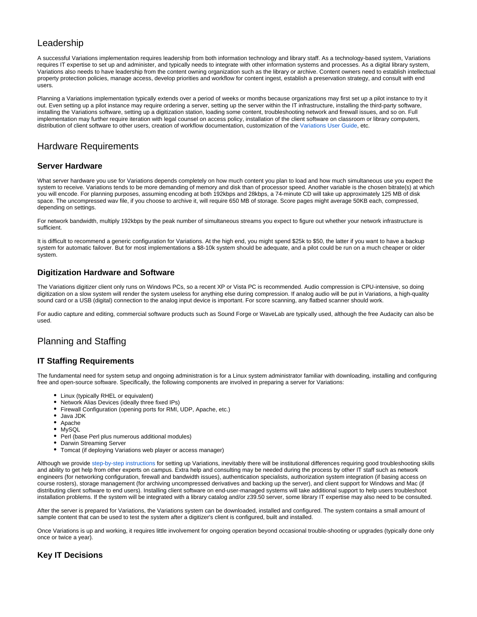### Leadership

A successful Variations implementation requires leadership from both information technology and library staff. As a technology-based system, Variations requires IT expertise to set up and administer, and typically needs to integrate with other information systems and processes. As a digital library system, Variations also needs to have leadership from the content owning organization such as the library or archive. Content owners need to establish intellectual property protection policies, manage access, develop priorities and workflow for content ingest, establish a preservation strategy, and consult with end users.

Planning a Variations implementation typically extends over a period of weeks or months because organizations may first set up a pilot instance to try it out. Even setting up a pilot instance may require ordering a server, setting up the server within the IT infrastructure, installing the third-party software, installing the Variations software, setting up a digitization station, loading some content, troubleshooting network and firewall issues, and so on. Full implementation may further require iteration with legal counsel on access policy, installation of the client software on classroom or library computers, distribution of client software to other users, creation of workflow documentation, customization of the [Variations User Guide,](http://variations2.indiana.edu/use/) etc.

### Hardware Requirements

#### **Server Hardware**

What server hardware you use for Variations depends completely on how much content you plan to load and how much simultaneous use you expect the system to receive. Variations tends to be more demanding of memory and disk than of processor speed. Another variable is the chosen bitrate(s) at which you will encode. For planning purposes, assuming encoding at both 192kbps and 28kbps, a 74-minute CD will take up approximately 125 MB of disk space. The uncompressed wav file, if you choose to archive it, will require 650 MB of storage. Score pages might average 50KB each, compressed, depending on settings.

For network bandwidth, multiply 192kbps by the peak number of simultaneous streams you expect to figure out whether your network infrastructure is sufficient.

It is difficult to recommend a generic configuration for Variations. At the high end, you might spend \$25k to \$50, the latter if you want to have a backup system for automatic failover. But for most implementations a \$8-10k system should be adequate, and a pilot could be run on a much cheaper or older system.

#### **Digitization Hardware and Software**

The Variations digitizer client only runs on Windows PCs, so a recent XP or Vista PC is recommended. Audio compression is CPU-intensive, so doing digitization on a slow system will render the system useless for anything else during compression. If analog audio will be put in Variations, a high-quality sound card or a USB (digital) connection to the analog input device is important. For score scanning, any flatbed scanner should work.

For audio capture and editing, commercial software products such as Sound Forge or WaveLab are typically used, although the free Audacity can also be used.

## Planning and Staffing

#### **IT Staffing Requirements**

The fundamental need for system setup and ongoing administration is for a Linux system administrator familiar with downloading, installing and configuring free and open-source software. Specifically, the following components are involved in preparing a server for Variations:

- Linux (typically RHEL or equivalent)
- Network Alias Devices (ideally three fixed IPs)
- Firewall Configuration (opening ports for RMI, UDP, Apache, etc.)
- Java JDK
- Apache
- MySQL
- Perl (base Perl plus numerous additional modules)
- Darwin Streaming Server
- Tomcat (if deploying Variations web player or access manager)

Although we provide [step-by-step instructions](https://wiki.dlib.indiana.edu/pages/viewpage.action?pageId=510887173) for setting up Variations, inevitably there will be institutional differences requiring good troubleshooting skills and ability to get help from other experts on campus. Extra help and consulting may be needed during the process by other IT staff such as network engineers (for networking configuration, firewall and bandwidth issues), authentication specialists, authorization system integration (if basing access on course rosters), storage management (for archiving uncompressed derivatives and backing up the server), and client support for Windows and Mac (if distributing client software to end users). Installing client software on end-user-managed systems will take additional support to help users troubleshoot installation problems. If the system will be integrated with a library catalog and/or z39.50 server, some library IT expertise may also need to be consulted.

After the server is prepared for Variations, the Variations system can be downloaded, installed and configured. The system contains a small amount of sample content that can be used to test the system after a digitizer's client is configured, built and installed.

Once Variations is up and working, it requires little involvement for ongoing operation beyond occasional trouble-shooting or upgrades (typically done only once or twice a year).

#### **Key IT Decisions**